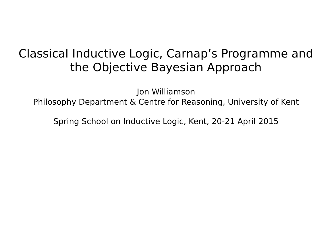## Classical Inductive Logic, Carnap's Programme and the Objective Bayesian Approach

Jon Williamson Philosophy Department & Centre for Reasoning, University of Kent

Spring School on Inductive Logic, Kent, 20-21 April 2015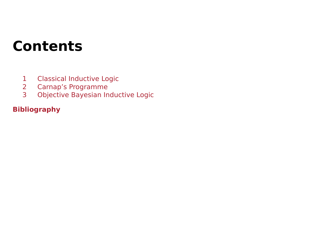# **Contents**

- [1 Classical Inductive Logic](#page-2-0)
- [2 Carnap's Programme](#page-18-0)
- [3 Objective Bayesian Inductive Logic](#page-35-0)

#### **[Bibliography](#page-41-0)**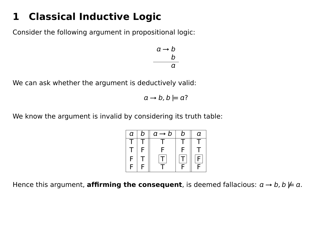## <span id="page-2-0"></span>**1 Classical Inductive Logic**

Consider the following argument in propositional logic:

$$
\begin{array}{c}\n a \rightarrow b \\
 b \\
 \hline\n a\n \end{array}
$$

We can ask whether the argument is deductively valid:

 $a \rightarrow b$ ,  $b \not\equiv a$ ?

We know the argument is invalid by considering its truth table:

| а  | b | $a \rightarrow b$ | ŋ | a  |
|----|---|-------------------|---|----|
|    |   |                   |   |    |
| л. | F | c                 | F |    |
| F  |   | T                 |   | E. |
| F  | F |                   | E | E  |

Hence this argument, **affirming the consequent**, is deemed fallacious:  $a \rightarrow b$ ,  $b \not\models a$ .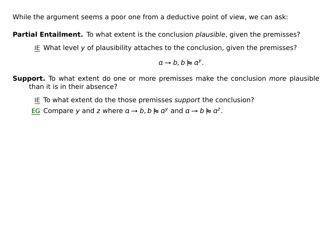While the argument seems a poor one from a deductive point of view, we can ask:

**Partial Entailment.** To what extent is the conclusion *plausible*, given the premisses?

IE What level y of plausibility attaches to the conclusion, given the premisses?

 $a \rightarrow b$ ,  $b \approx a^y$ .

**Support.** To what extent do one or more premisses make the conclusion more plausible than it is in their absence?

IE To what extent do the those premisses support the conclusion?

EG Compare y and z where  $a \rightarrow b$ ,  $b \approx a^y$  and  $a \rightarrow b \approx a^z$ .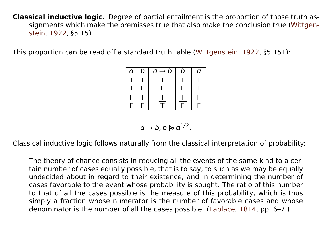**Classical inductive logic.** Degree of partial entailment is the proportion of those truth assignments which make the premisses true that also make the conclusion true [\(Wittgen](#page-42-0)[stein,](#page-42-0) [1922,](#page-42-0) §5.15).

This proportion can be read off a standard truth table [\(Wittgenstein,](#page-42-0) [1922,](#page-42-0) §5.151):



$$
a \to b, b \approx a^{1/2}.
$$

Classical inductive logic follows naturally from the classical interpretation of probability:

The theory of chance consists in reducing all the events of the same kind to a certain number of cases equally possible, that is to say, to such as we may be equally undecided about in regard to their existence, and in determining the number of cases favorable to the event whose probability is sought. The ratio of this number to that of all the cases possible is the measure of this probability, which is thus simply a fraction whose numerator is the number of favorable cases and whose denominator is the number of all the cases possible. [\(Laplace,](#page-42-1) [1814,](#page-42-1) pp. 6–7.)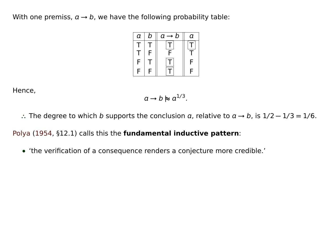With one premiss,  $a \rightarrow b$ , we have the following probability table:



Hence,

 $a \rightarrow b \approx a^{1/3}$ .

∴ The degree to which *b* supports the conclusion *a*, relative to  $a \rightarrow b$ , is  $1/2 - 1/3 = 1/6$ .

[Polya](#page-42-2) [\(1954,](#page-42-2) §12.1) calls this the **fundamental inductive pattern**:

**•** 'the verification of a consequence renders a conjecture more credible.'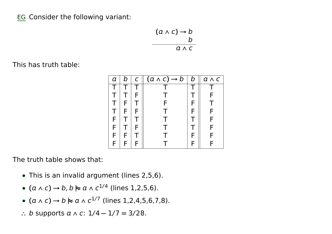EG Consider the following variant:

$$
\begin{array}{c}\n(a \land c) \rightarrow b \\
b \\
\hline\na \land c\n\end{array}
$$

This has truth table:

| a | b | C | $(a \wedge c) \rightarrow b$ | b | $a \wedge c$ |
|---|---|---|------------------------------|---|--------------|
|   |   |   |                              |   |              |
|   |   | F |                              |   |              |
|   | F |   | F                            |   |              |
|   | F | F |                              |   | F            |
| F |   |   |                              |   |              |
| F |   | F |                              |   |              |
| F | F |   |                              |   | F            |
| F | F | F |                              |   |              |

The truth table shows that:

- **•** This is an invalid argument (lines 2,5,6).
- **• (** ∧ c**) →** b, b **|≈** ∧ c 1/4 (lines 1,2,5,6).
- **• (** ∧ c**) →** b **|≈** ∧ c 1/7 (lines 1,2,4,5,6,7,8).
- **<sup>∴</sup>** b supports ∧ c: 1/4 **−** 1/7 **=** 3/28.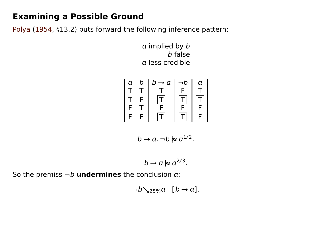### **Examining a Possible Ground**

[Polya](#page-42-2) [\(1954,](#page-42-2) §13.2) puts forward the following inference pattern:

 $a$  implied by  $b$ b false  $\alpha$  less credible



$$
b \to a, \neg b \not\approx a^{1/2}.
$$

$$
b\to a\hspace{0.1em}\mathop{\rule[0pt]{0.1em}{1.7em}\hspace{0.1em}\mathop{\rule[0pt]{0.1em}{1.7em}\hspace{0.1em}\mathop{\rule[0pt]{0.1em}{1.7em}\hspace{0.1em}\mathop{\rule[0pt]{0.1em}{1.7em}\hspace{0.1em}\mathop{\rule[0pt]{0.1em}{1.7em}\hspace{0.1em}\mathop{\rule[0pt]{0.1em}{1.7em}\hspace{0.1em}\mathop{\rule[0pt]{0.1em}{1.7em}\hspace{0.1em}\mathop{\rule[0pt]{0.1em}{1.7em}\hspace{0.1em}\mathop{\rule[0pt]{0.1em}{1.7em}\hspace{0.1em}\mathop{\rule[0pt]{0.1em}{1.7em}\hspace{0.1em}\mathop{\rule[0pt]{0.1em}{1.7em}\hspace{0.1em}\mathop{\rule[0pt]{0.1em}{1.7em}\hspace{0.1em}\mathop{\rule[0pt]{0.1em}{1.7em}\hspace{0.1em}\mathop{\rule[0pt]{0.1em}{1.7em}\hspace{0.1em}\mathop{\rule[0pt]{0.1em}{1.7em}\hspace{0.1em}\mathop{\rule[0pt]{0.1em}{1.7em}\hspace{0.1em}\mathop{\rule[0pt]{0.1em}{1.7em}\hspace{0.1em}\mathop{\rule[0pt]{0.1em}{1.7em}\hspace{0.1em}\mathop{\rule[0pt]{0.1em}{1.7em}\hspace{0.1em}\mathop{\rule[0pt]{0.1em}{1.7em}\hspace{0.1em}\mathop{\rule[0pt}{1.7em}\hspace{0.1em}\mathop{\rule[0pt}{1.7em}\hspace{0.1em}\mathop{\rule[0pt}{1.7em}\hspace{0.1em}\mathop{\rule[0pt}{1.7em}\hspace{0.1em}\mathop{\rule[0pt}{1.7em}\hspace{0.1em}\mathop{\rule[0pt}{1.7em}\hspace{0.1em}\mathop{\rule[0pt}{1.7em}\hspace{0.1em}\mathop{\rule[0pt}{1.7em}\hspace{0.1em}\mathop{\rule[0pt}{1.7em}\hspace{0.1em}\mathop{\rule[0pt}{1.7em}\hspace{0.1em}\mathop{\rule[0pt}{1.7em}\hspace{
$$

So the premiss  $\neg b$  **undermines** the conclusion  $a$ :

$$
\neg b \searrow_{25\%} a \quad [b \rightarrow a].
$$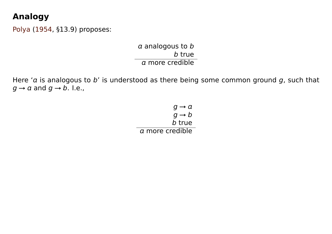## **Analogy**

[Polya](#page-42-2) [\(1954,](#page-42-2) §13.9) proposes:

 $a$  analogous to  $b$ b true  $\alpha$  more credible

Here 'a is analogous to b' is understood as there being some common ground  $g$ , such that  $g \rightarrow a$  and  $g \rightarrow b$ . I.e.,

> $q \rightarrow q$  $q \rightarrow b$ b true more credible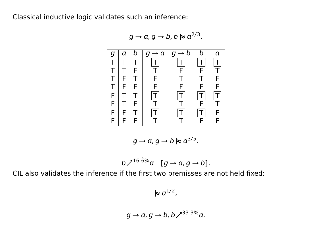Classical inductive logic validates such an inference:

 $g \rightarrow a$ ,  $g \rightarrow b$ ,  $b \approx a^{2/3}$ .



$$
g\to a, g\to b \hspace{0.1em}\mathrel{\triangleright}\hspace{-0.1em}\mathrel{\triangleright} a^{3/5}.
$$

$$
b\nearrow^{16.6\%}a \quad [g\rightarrow a, g\rightarrow b].
$$

CIL also validates the inference if the first two premisses are not held fixed:

 $\approx$   $a^{1/2}$ ,

$$
g \to a, g \to b, b \nearrow^{33.3\%} a.
$$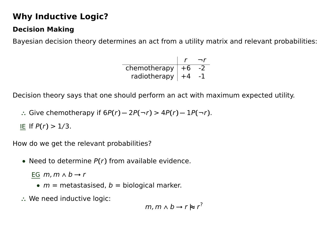## **Why Inductive Logic?**

#### **Decision Making**

Bayesian decision theory determines an act from a utility matrix and relevant probabilities:

| chemotherapy | ∣ +6 |  |
|--------------|------|--|
| radiotherapy | $+4$ |  |

Decision theory says that one should perform an act with maximum expected utility.

**<sup>∴</sup>** Give chemotherapy if 6P**(**r**) −** 2P**(**¬r**)** > 4P**(**r**) −** 1P**(**¬r**)**.

IE If P**(**r**)** > 1/3.

How do we get the relevant probabilities?

**•** Need to determine P**(**r**)** from available evidence.

EG  $m, m \wedge b \rightarrow r$ 

- $m =$  metastasised,  $b =$  biological marker.
- **∴** We need inductive logic:

 $m, m \wedge b \rightarrow r \approx r^2$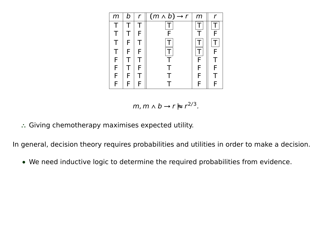| m           | b | r | $(m \wedge b) \rightarrow r$ | m |   |
|-------------|---|---|------------------------------|---|---|
|             |   |   |                              |   |   |
|             |   | F | F                            |   | F |
| $\mathsf T$ | F |   |                              |   |   |
| Τ           | F | F |                              |   | Ē |
| F           |   |   |                              | F |   |
| F           |   | F |                              | F | F |
| F           | F |   |                              | F |   |
| F           | F |   |                              | F |   |

 $m, m \wedge b \rightarrow r \approx r^{2/3}.$ 

**∴** Giving chemotherapy maximises expected utility.

In general, decision theory requires probabilities and utilities in order to make a decision.

**•** We need inductive logic to determine the required probabilities from evidence.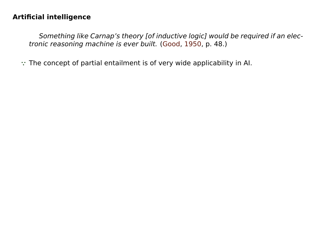#### **Artificial intelligence**

Something like Carnap's theory [of inductive logic] would be required if an electronic reasoning machine is ever built. [\(Good,](#page-41-1) [1950,](#page-41-1) p. 48.)

**∵** The concept of partial entailment is of very wide applicability in AI.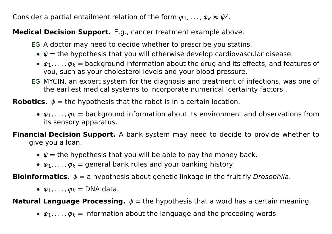Consider a partial entailment relation of the form  $\varphi_1, \ldots, \varphi_k \models \psi^y$ .

#### **Medical Decision Support.** E.g., cancer treatment example above.

- EG A doctor may need to decide whether to prescribe you statins.
	- **•** ψ **=** the hypothesis that you will otherwise develop cardiovascular disease.
	- $\varphi_1, \ldots, \varphi_k$  = background information about the drug and its effects, and features of you, such as your cholesterol levels and your blood pressure.
- EG MYCIN, an expert system for the diagnosis and treatment of infections, was one of the earliest medical systems to incorporate numerical 'certainty factors'.

**Robotics.**  $\psi$  = the hypothesis that the robot is in a certain location.

- $\varphi_1, \ldots, \varphi_k$  = background information about its environment and observations from its sensory apparatus.
- **Financial Decision Support.** A bank system may need to decide to provide whether to give you a loan.
	- $\psi$  = the hypothesis that you will be able to pay the money back.
	- $\varphi_1, \ldots, \varphi_k$  = general bank rules and your banking history.

**Bioinformatics.**  $\psi = a$  hypothesis about genetic linkage in the fruit fly *Drosophila*.

•  $\varphi_1, \ldots, \varphi_k =$  DNA data.

**Natural Language Processing.**  $\psi$  = the hypothesis that a word has a certain meaning.

•  $\varphi_1, \ldots, \varphi_k$  = information about the language and the preceding words.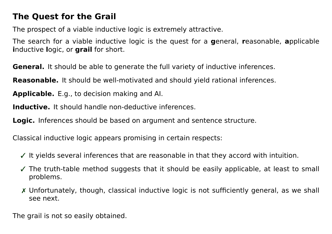### **The Quest for the Grail**

The prospect of a viable inductive logic is extremely attractive.

The search for a viable inductive logic is the quest for a **g**eneral, **r**easonable, **a**pplicable **i**nductive **l**ogic, or **grail** for short.

**General.** It should be able to generate the full variety of inductive inferences.

**Reasonable.** It should be well-motivated and should yield rational inferences.

**Applicable.** E.g., to decision making and AI.

**Inductive.** It should handle non-deductive inferences.

**Logic.** Inferences should be based on argument and sentence structure.

Classical inductive logic appears promising in certain respects:

- $\checkmark$  It yields several inferences that are reasonable in that they accord with intuition.
- ✓ The truth-table method suggests that it should be easily applicable, at least to small problems.
- ✗ Unfortunately, though, classical inductive logic is not sufficiently general, as we shall see next.

The grail is not so easily obtained.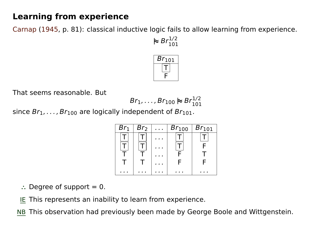## **Learning from experience**

[Carnap](#page-41-2) [\(1945,](#page-41-2) p. 81): classical inductive logic fails to allow learning from experience.



That seems reasonable. But

$$
Br_1,\cdots,Br_{100}\succcurlyeq Br_{101}^{1/2}
$$

since  $Br_1, \ldots, Br_{100}$  are logically independent of  $Br_{101}$ .

| Br <sub>1</sub> | Br <sub>2</sub> | $\cdots$ | $Br_{100}$ | $Br_{101}$ |
|-----------------|-----------------|----------|------------|------------|
|                 |                 |          |            |            |
|                 |                 |          |            |            |
|                 |                 |          |            |            |
|                 |                 |          | F          | F          |
|                 |                 |          |            |            |

- **∴** Degree of support = 0.
- IE This represents an inability to learn from experience.

NB This observation had previously been made by George Boole and Wittgenstein.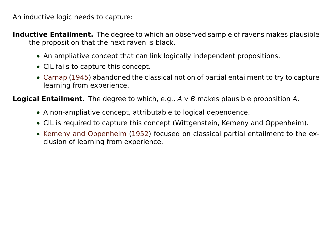An inductive logic needs to capture:

**Inductive Entailment.** The degree to which an observed sample of ravens makes plausible the proposition that the next raven is black.

- **•** An ampliative concept that can link logically independent propositions.
- **•** CIL fails to capture this concept.
- **•** [Carnap](#page-41-2) [\(1945\)](#page-41-2) abandoned the classical notion of partial entailment to try to capture learning from experience.

**Logical Entailment.** The degree to which, e.g.,  $A \vee B$  makes plausible proposition A.

- **•** A non-ampliative concept, attributable to logical dependence.
- **•** CIL is required to capture this concept (Wittgenstein, Kemeny and Oppenheim).
- **•** [Kemeny and Oppenheim](#page-41-3) [\(1952\)](#page-41-3) focused on classical partial entailment to the exclusion of learning from experience.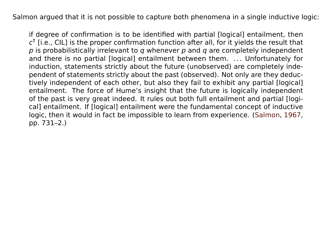Salmon argued that it is not possible to capture both phenomena in a single inductive logic:

if degree of confirmation is to be identified with partial [logical] entailment, then  $c^{\dagger}$  [i.e., CIL] is the proper confirmation function after all, for it yields the result that  $p$  is probabilistically irrelevant to q whenever  $p$  and  $q$  are completely independent and there is no partial [logical] entailment between them. ... Unfortunately for induction, statements strictly about the future (unobserved) are completely independent of statements strictly about the past (observed). Not only are they deductively independent of each other, but also they fail to exhibit any partial [logical] entailment. The force of Hume's insight that the future is logically independent of the past is very great indeed. It rules out both full entailment and partial [logical] entailment. If [logical] entailment were the fundamental concept of inductive logic, then it would in fact be impossible to learn from experience. [\(Salmon,](#page-42-3) [1967,](#page-42-3) pp. 731–2.)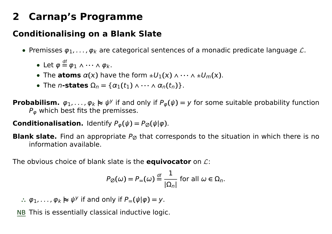## <span id="page-18-0"></span>**2 Carnap's Programme**

## **Conditionalising on a Blank Slate**

- Premisses  $\varphi_1, \ldots, \varphi_k$  are categorical sentences of a monadic predicate language  $\mathcal{L}$ .
	- Let  $\varphi \stackrel{\text{df}}{=} \varphi_1 \wedge \cdots \wedge \varphi_k$ .
	- The **atoms**  $\alpha(x)$  have the form  $\pm U_1(x) \wedge \cdots \wedge \pm U_m(x)$ .
	- The *n*-states  $\Omega_n = {\alpha_1(t_1) \wedge \cdots \wedge \alpha_n(t_n)}$ .

**Probabilism.**  $\varphi_1, \ldots, \varphi_k \models \psi^y$  if and only if  $P_{\varphi}(\psi) = y$  for some suitable probability function  $P_{\omega}$  which best fits the premisses.

**Conditionalisation.** Identify  $P_{\varphi}(\psi) = P_{\varnothing}(\psi|\varphi)$ .

**Blank slate.** Find an appropriate  $P_{\emptyset}$  that corresponds to the situation in which there is no information available.

The obvious choice of blank slate is the **equivocator** on L:

$$
P_{\emptyset}(\omega) = P_{=}(\omega) \stackrel{\text{df}}{=} \frac{1}{|\Omega_n|} \text{ for all } \omega \in \Omega_n.
$$

 $\therefore$   $\varphi_1, \ldots, \varphi_k \approx \psi^{\gamma}$  if and only if  $P = (\psi | \varphi) = y$ .

NB This is essentially classical inductive logic.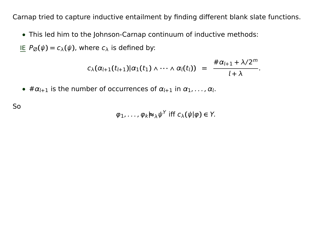Carnap tried to capture inductive entailment by finding different blank slate functions.

**•** This led him to the Johnson-Carnap continuum of inductive methods:

IE  $P_{\emptyset}(\psi) = c_{\lambda}(\psi)$ , where  $c_{\lambda}$  is defined by:

$$
c_{\lambda}(\alpha_{l+1}(t_{l+1})|\alpha_1(t_1)\wedge\cdots\wedge\alpha_l(t_l)) = \frac{\#\alpha_{l+1} + \lambda/2^m}{l+\lambda}.
$$

•  $\#\alpha_{l+1}$  is the number of occurrences of  $\alpha_{l+1}$  in  $\alpha_1, \ldots, \alpha_l$ .

So

$$
\varphi_1, \ldots, \varphi_k \rhd_\lambda \psi^\gamma
$$
 iff  $c_\lambda(\psi | \varphi) \in Y$ .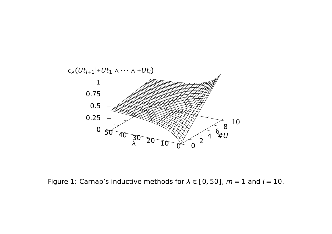

Figure 1: Carnap's inductive methods for  $\lambda \in [0, 50]$ ,  $m = 1$  and  $l = 10$ .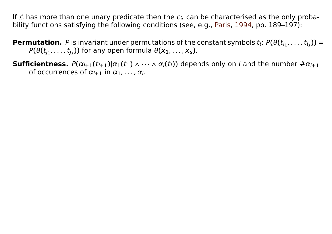If L has more than one unary predicate then the  $c_{\lambda}$  can be characterised as the only probability functions satisfying the following conditions (see, e.g., [Paris,](#page-42-4) [1994,](#page-42-4) pp. 189–197):

**Permutation.** P is invariant under permutations of the constant symbols  $t_i$ :  $P(\theta(t_{i_1},...,t_{i_s}))$  =  $P(\theta(t_{j_1}, \ldots, t_{j_s}))$  for any open formula  $\theta(x_1, \ldots, x_s)$ .

**Sufficientness.**  $P(\alpha_{l+1}(t_{l+1})|\alpha_1(t_1) \wedge \cdots \wedge \alpha_l(t_l))$  depends only on *l* and the number  $\#\alpha_{l+1}$ of occurrences of  $\alpha_{l+1}$  in  $\alpha_1, \ldots, \alpha_l$ .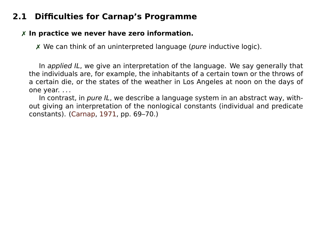## **2.1 Difficulties for Carnap's Programme**

#### ✗ **In practice we never have zero information.**

✗ We can think of an uninterpreted language (pure inductive logic).

In applied IL, we give an interpretation of the language. We say generally that the individuals are, for example, the inhabitants of a certain town or the throws of a certain die, or the states of the weather in Los Angeles at noon on the days of one year. . . .

In contrast, in pure IL, we describe a language system in an abstract way, without giving an interpretation of the nonlogical constants (individual and predicate constants). [\(Carnap,](#page-41-4) [1971,](#page-41-4) pp. 69–70.)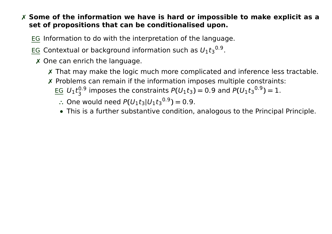#### ✗ **Some of the information we have is hard or impossible to make explicit as a set of propositions that can be conditionalised upon.**

- EG Information to do with the interpretation of the language.
- EG Contextual or background information such as  $U_1t_3^{0.9}$ .
- ✗ One can enrich the language.
	- ✗ That may make the logic much more complicated and inference less tractable.
	- ✗ Problems can remain if the information imposes multiple constraints: EG  $U_1 t_3^{0.9}$  imposes the constraints  $P(U_1 t_3) = 0.9$  and  $P(U_1 t_3^{0.9}) = 1$ .
		- $\therefore$  One would need  $P(U_1t_3|U_1t_3^{0.9}) = 0.9$ .
		- **•** This is a further substantive condition, analogous to the Principal Principle.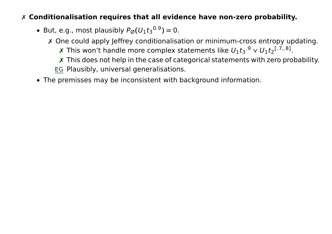#### ✗ **Conditionalisation requires that all evidence have non-zero probability.**

• But, e.g., most plausibly  $P_{\emptyset}(U_1t_3^{0.9}) = 0$ .

✗ One could apply Jeffrey conditionalisation or minimum-cross entropy updating.

**x** This won't handle more complex statements like  $U_1t_3$ .<sup>9</sup> v  $U_1t_2$ <sup>[.7,.8]</sup>.

✗ This does not help in the case of categorical statements with zero probability.

EG Plausibly, universal generalisations.

**•** The premisses may be inconsistent with background information.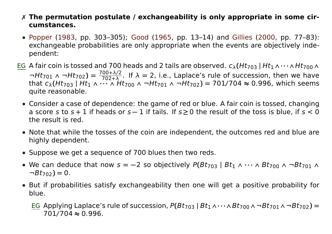- ✗ **The permutation postulate / exchangeability is only appropriate in some circumstances.**
- **•** [Popper](#page-42-5) [\(1983,](#page-42-5) pp. 303–305); [Good](#page-41-5) [\(1965,](#page-41-5) pp. 13–14) and [Gillies](#page-41-6) [\(2000,](#page-41-6) pp. 77–83): exchangeable probabilities are only appropriate when the events are objectively independent:
- EG A fair coin is tossed and 700 heads and 2 tails are observed. cλ**(**Ht<sup>703</sup> **|** Ht1∧**· · ·**∧Ht700∧ <sup>¬</sup>Ht<sup>701</sup> ∧ ¬Ht702**) =** <sup>700</sup>**+**λ/<sup>2</sup> 702**+**λ . If λ **=** 2, i.e., Laplace's rule of succession, then we have that  $c_{\lambda}(Ht_{703} \mid Ht_1 \wedge \cdots \wedge Ht_{700} \wedge \neg Ht_{701} \wedge \neg Ht_{702}) = 701/704 \approx 0.996$ , which seems quite reasonable.
	- **•** Consider a case of dependence: the game of red or blue. A fair coin is tossed, changing a score s to s **+** 1 if heads or s **−** 1 if tails. If s **≥** 0 the result of the toss is blue, if s < 0 the result is red.
	- **•** Note that while the tosses of the coin are independent, the outcomes red and blue are highly dependent.
	- **•** Suppose we get a sequence of 700 blues then two reds.
	- We can deduce that now  $s = -2$  so objectively  $P(Bt_{703} | Bt_1 \wedge \cdots \wedge Bt_{700} \wedge \neg Bt_{701} \wedge$  $\neg Bt_{702}$  $= 0$ .
	- **•** But if probabilities satisfy exchangeability then one will get a positive probability for blue.
		- EG Applying Laplace's rule of succession,  $P(Bt_{703} | Bt_1 \wedge \cdots \wedge Bt_{700} \wedge \neg Bt_{701} \wedge \neg Bt_{702}) =$ 701/704 **≈** 0.996.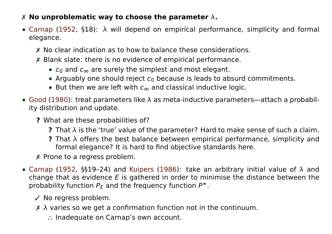#### ✗ **No unproblematic way to choose the parameter** λ**.**

- **•** [Carnap](#page-41-7) [\(1952,](#page-41-7) §18): λ will depend on empirical performance, simplicity and formal elegance.
	- ✗ No clear indication as to how to balance these considerations.
	- ✗ Blank slate: there is no evidence of empirical performance.
		- c<sub>0</sub> and c<sub>∞</sub> are surely the simplest and most elegant.
		- Arguably one should reject  $c_0$  because is leads to absurd commitments.
		- **•** But then we are left with c<sup>∞</sup> and classical inductive logic.
- **•** [Good](#page-41-8) [\(1980\)](#page-41-8): treat parameters like λ as meta-inductive parameters—attach a probability distribution and update.
	- **?** What are these probabilities of?
		- **?** That λ is the 'true' value of the parameter? Hard to make sense of such a claim.
		- **?** That λ offers the best balance between empirical performance, simplicity and formal elegance? It is hard to find objective standards here.
	- ✗ Prone to a regress problem.
- **•** [Carnap](#page-41-7) [\(1952,](#page-41-7) §§19–24) and [Kuipers](#page-41-9) [\(1986\)](#page-41-9): take an arbitrary initial value of λ and change that as evidence  $E$  is gathered in order to minimise the distance between the probability function  $P_E$  and the frequency function  $P^*$ .
	- ✓ No regress problem.
	- $\times$   $\lambda$  varies so we get a confirmation function not in the continuum.
		- **∴** Inadequate on Carnap's own account.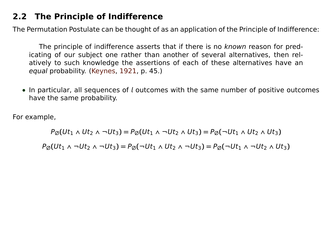### **2.2 The Principle of Indifference**

The Permutation Postulate can be thought of as an application of the Principle of Indifference:

The principle of indifference asserts that if there is no known reason for predicating of our subject one rather than another of several alternatives, then relatively to such knowledge the assertions of each of these alternatives have an equal probability. [\(Keynes,](#page-41-10) [1921,](#page-41-10) p. 45.)

• In particular, all sequences of *l* outcomes with the same number of positive outcomes have the same probability.

For example,

 $P_{\emptyset}(Ut_1 \wedge Ut_2 \wedge \neg Ut_3) = P_{\emptyset}(Ut_1 \wedge \neg Ut_2 \wedge Ut_3) = P_{\emptyset}(\neg Ut_1 \wedge Ut_2 \wedge Ut_3)$  $P_{\emptyset}(Ut_1 \wedge \neg Ut_2 \wedge \neg Ut_3) = P_{\emptyset}(\neg Ut_1 \wedge Ut_2 \wedge \neg Ut_3) = P_{\emptyset}(\neg Ut_1 \wedge \neg Ut_2 \wedge Ut_3)$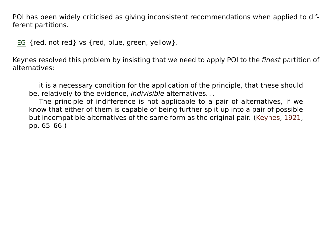POI has been widely criticised as giving inconsistent recommendations when applied to different partitions.

EG {red, not red} vs {red, blue, green, yellow}.

Keynes resolved this problem by insisting that we need to apply POI to the finest partition of alternatives:

it is a necessary condition for the application of the principle, that these should be, relatively to the evidence, *indivisible* alternatives...

The principle of indifference is not applicable to a pair of alternatives, if we know that either of them is capable of being further split up into a pair of possible but incompatible alternatives of the same form as the original pair. [\(Keynes,](#page-41-10) [1921,](#page-41-10) pp. 65–66.)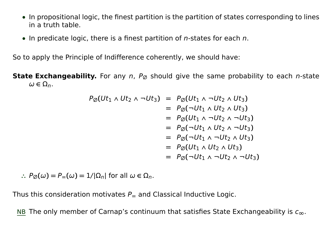- **•** In propositional logic, the finest partition is the partition of states corresponding to lines in a truth table.
- **•** In predicate logic, there is a finest partition of n-states for each n.

So to apply the Principle of Indifference coherently, we should have:

**State Exchangeability.** For any n,  $P_{\emptyset}$  should give the same probability to each n-state  $\omega \in \Omega_n$ .

$$
P_{\emptyset}(Ut_{1} \wedge Ut_{2} \wedge \neg Ut_{3}) = P_{\emptyset}(Ut_{1} \wedge \neg Ut_{2} \wedge Ut_{3})
$$
  
\n
$$
= P_{\emptyset}(\neg Ut_{1} \wedge Ut_{2} \wedge Ut_{3})
$$
  
\n
$$
= P_{\emptyset}(Ut_{1} \wedge \neg Ut_{2} \wedge \neg Ut_{3})
$$
  
\n
$$
= P_{\emptyset}(\neg Ut_{1} \wedge Ut_{2} \wedge \neg Ut_{3})
$$
  
\n
$$
= P_{\emptyset}(\neg Ut_{1} \wedge \neg Ut_{2} \wedge Ut_{3})
$$
  
\n
$$
= P_{\emptyset}(Ut_{1} \wedge Ut_{2} \wedge Ut_{3})
$$
  
\n
$$
= P_{\emptyset}(\neg Ut_{1} \wedge \neg Ut_{2} \wedge \neg Ut_{3})
$$
  
\n
$$
= P_{\emptyset}(\neg Ut_{1} \wedge \neg Ut_{2} \wedge \neg Ut_{3})
$$

 $\therefore$  P<sub>Ø</sub>(ω) = P<sub>=</sub>(ω) = 1/|Ω<sub>n</sub>| for all ω ∈ Ω<sub>n</sub>.

Thus this consideration motivates  $P_{\equiv}$  and Classical Inductive Logic.

NB The only member of Carnap's continuum that satisfies State Exchangeability is  $c_{\infty}$ .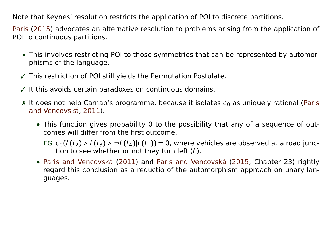Note that Keynes' resolution restricts the application of POI to discrete partitions.

[Paris](#page-42-6) [\(2015\)](#page-42-6) advocates an alternative resolution to problems arising from the application of POI to continuous partitions.

- **•** This involves restricting POI to those symmetries that can be represented by automorphisms of the language.
- ✓ This restriction of POI still yields the Permutation Postulate.
- $\checkmark$  It this avoids certain paradoxes on continuous domains.
- $\times$  It does not help Carnap's programme, because it isolates  $c_0$  as uniquely rational [\(Paris](#page-42-7) [and Vencovská,](#page-42-7) [2011\)](#page-42-7).
	- **•** This function gives probability 0 to the possibility that any of a sequence of outcomes will differ from the first outcome.
		- EG  $c_0(L(t_2) \wedge L(t_3) \wedge \neg L(t_4)|L(t_1)) = 0$ , where vehicles are observed at a road junction to see whether or not they turn left (L).
	- **•** [Paris and Vencovská](#page-42-7) [\(2011\)](#page-42-7) and [Paris and Vencovská](#page-42-8) [\(2015,](#page-42-8) Chapter 23) rightly regard this conclusion as a reductio of the automorphism approach on unary languages.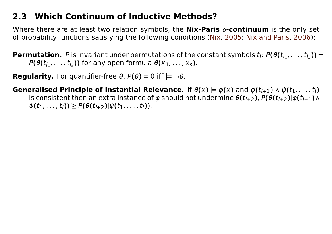## **2.3 Which Continuum of Inductive Methods?**

Where there are at least two relation symbols, the **Nix-Paris** δ**-continuum** is the only set of probability functions satisfying the following conditions [\(Nix,](#page-42-9) [2005;](#page-42-9) [Nix and Paris,](#page-42-10) [2006\)](#page-42-10):

**Permutation.** P is invariant under permutations of the constant symbols  $t_i$ :  $P(\theta(t_{i_1},...,t_{i_s}))$  =  $P(\theta(t_{j_1}, \ldots, t_{j_s}))$  for any open formula  $\theta(x_1, \ldots, x_s)$ .

**Regularity.** For quantifier-free  $\theta$ ,  $P(\theta) = 0$  iff  $\models \neg \theta$ .

**Generalised Principle of Instantial Relevance.** If  $\theta(x) \models \varphi(x)$  and  $\varphi(t_{l+1}) \land \psi(t_1, \ldots, t_l)$ is consistent then an extra instance of  $\varphi$  should not undermine  $\theta(t_{l+2})$ ,  $P(\theta(t_{l+2})|\varphi(t_{l+1})\wedge \varphi(t_{l+1})$  $\psi(t_1, \ldots, t_l) \geq P(\theta(t_{l+2}) | \psi(t_1, \ldots, t_l)).$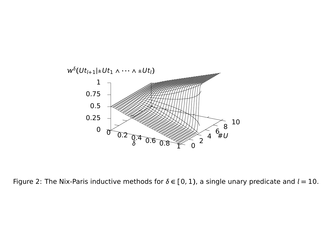

Figure 2: The Nix-Paris inductive methods for  $\delta \in [0, 1)$ , a single unary predicate and  $l = 10$ .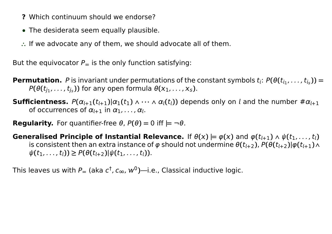- **?** Which continuum should we endorse?
- **•** The desiderata seem equally plausible.
- **∴** If we advocate any of them, we should advocate all of them.

But the equivocator  $P_$  is the only function satisfying:

- **Permutation.** P is invariant under permutations of the constant symbols  $t_i$ :  $P(\theta(t_{i_1},...,t_{i_s}))$  =  $P(\theta(t_{j_1},...,t_{j_s}))$  for any open formula  $\theta(x_1,...,x_s)$ .
- **Sufficientness.**  $P(\alpha_{l+1}(t_{l+1})|\alpha_1(t_1) \wedge \cdots \wedge \alpha_l(t_l))$  depends only on *l* and the number  $\#\alpha_{l+1}$ of occurrences of  $\alpha_{i+1}$  in  $\alpha_1, \ldots, \alpha_i$ .
- **Regularity.** For quantifier-free  $\theta$ ,  $P(\theta) = 0$  iff  $\models \neg \theta$ .
- **Generalised Principle of Instantial Relevance.** If  $\theta(x) \models \varphi(x)$  and  $\varphi(t_{l+1}) \land \psi(t_1, \ldots, t_l)$ is consistent then an extra instance of  $\varphi$  should not undermine  $\theta(t_{i+2})$ ,  $P(\theta(t_{i+2})|\varphi(t_{i+1})\wedge$  $\psi(t_1, \ldots, t_l) \geq P(\theta(t_{l+2}) | \psi(t_1, \ldots, t_l)).$

This leaves us with  $P_=$  (aka  $c^\dagger$ ,  $c_\infty$ ,  $w^0$ )—i.e., Classical inductive logic.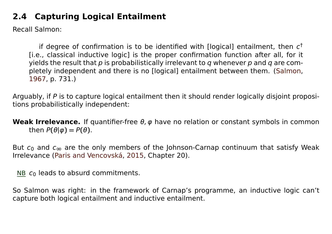## **2.4 Capturing Logical Entailment**

Recall Salmon:

if degree of confirmation is to be identified with [logical] entailment, then  $c^\dagger$ [i.e., classical inductive logic] is the proper confirmation function after all, for it yields the result that  $p$  is probabilistically irrelevant to  $q$  whenever  $p$  and  $q$  are completely independent and there is no [logical] entailment between them. [\(Salmon,](#page-42-3) [1967,](#page-42-3) p. 731.)

Arguably, if P is to capture logical entailment then it should render logically disjoint propositions probabilistically independent:

**Weak Irrelevance.** If quantifier-free θ, φ have no relation or constant symbols in common then  $P(\theta|\varphi) = P(\theta)$ .

But  $c_0$  and  $c_{\infty}$  are the only members of the Johnson-Carnap continuum that satisfy Weak Irrelevance [\(Paris and Vencovská,](#page-42-8) [2015,](#page-42-8) Chapter 20).

NB  $c_0$  leads to absurd commitments.

So Salmon was right: in the framework of Carnap's programme, an inductive logic can't capture both logical entailment and inductive entailment.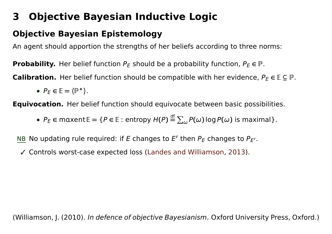## <span id="page-35-0"></span>**3 Objective Bayesian Inductive Logic**

## **Objective Bayesian Epistemology**

An agent should apportion the strengths of her beliefs according to three norms:

**Probability.** Her belief function  $P_E$  should be a probability function,  $P_E \in \mathbb{P}$ .

**Calibration.** Her belief function should be compatible with her evidence,  $P_E \in \mathbb{E} \subseteq \mathbb{P}$ .

• 
$$
P_E \in \mathbb{E} = \langle \mathbb{P}^* \rangle
$$
.

**Equivocation.** Her belief function should equivocate between basic possibilities.

 $\bullet$   $P_E \in \text{maxent} \mathbb{E} = \{P \in \mathbb{E} : \text{entropy } H(P) \stackrel{\text{df}}{=} \}$  $\stackrel{\text{dr}}{=} \sum_{\omega} P(\omega) \log P(\omega)$  is maximal}.

NB No updating rule required: if E changes to  $E'$  then  $P_E$  changes to  $P_{E'}$ .

✓ Controls worst-case expected loss [\(Landes and Williamson,](#page-42-11) [2013\)](#page-42-11).

(Williamson, J. (2010). In defence of objective Bayesianism. Oxford University Press, Oxford.)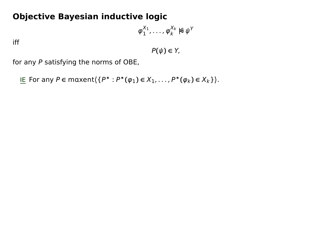## **Objective Bayesian inductive logic**

$$
\varphi_1^{X_1},\ldots,\varphi_k^{X_k}\not\approx\psi^Y
$$

iff

 $P(\psi) \in Y$ ,

for any P satisfying the norms of OBE,

IE For any P **∈** mxent**〈**{P <sup>∗</sup> : P <sup>∗</sup>**(**φ1**) <sup>∈</sup>** <sup>X</sup>1, . . . , P∗**(**φk**) <sup>∈</sup>** <sup>X</sup>k}**〉**.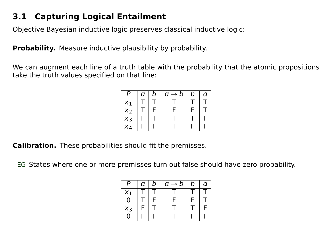## **3.1 Capturing Logical Entailment**

Objective Bayesian inductive logic preserves classical inductive logic:

**Probability.** Measure inductive plausibility by probability.

We can augment each line of a truth table with the probability that the atomic propositions take the truth values specified on that line:

|          | а | D | a<br>D | D | $\boldsymbol{\gamma}$ |
|----------|---|---|--------|---|-----------------------|
| $\chi_1$ |   |   |        |   |                       |
| $x_2$    |   |   | F      |   |                       |
| $x_3$    |   |   |        |   |                       |
| $\chi_4$ | c |   |        |   |                       |

**Calibration.** These probabilities should fit the premisses.

EG States where one or more premisses turn out false should have zero probability.

| 0     | а | D | α<br>$\rightarrow$ D | b | α |
|-------|---|---|----------------------|---|---|
| $x_1$ |   |   |                      |   |   |
| 0     |   | ⊏ | Ξ                    |   |   |
| $x_3$ |   |   |                      |   | c |
| 0     | ⊏ | E |                      |   |   |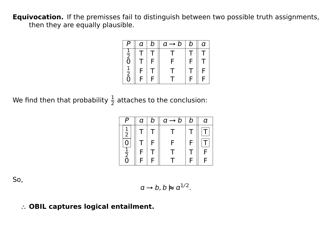**Equivocation.** If the premisses fail to distinguish between two possible truth assignments, then they are equally plausible.

| o                          | a | b | $a \rightarrow b$ | b | a |
|----------------------------|---|---|-------------------|---|---|
| $rac{1}{2}$ <sub>0</sub>   |   |   |                   |   |   |
|                            |   | F | F                 | F |   |
| $\frac{1}{2}$ <sub>0</sub> | F |   |                   |   | F |
|                            | F | F |                   | E | F |

We find then that probability  $\frac{1}{2}$  attaches to the conclusion:

|                | а | D | $a \rightarrow b$ | b | а |
|----------------|---|---|-------------------|---|---|
| $\frac{1}{2}$  |   |   |                   |   |   |
|                |   | F | с                 |   |   |
| $\overline{2}$ | ⊏ |   |                   |   |   |
| 0              | F | F |                   | F | F |

So,

$$
a\to b, b \hspace{0.1em}\mathrel{\triangleright}\hspace{-0.1em}\mathrel{\triangleright} a^{1/2}.
$$

#### **∴ OBIL captures logical entailment.**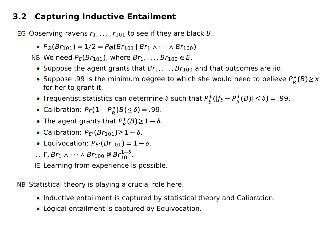## **3.2 Capturing Inductive Entailment**

EG Observing ravens  $r_1, \ldots, r_{101}$  to see if they are black B.

 $\bullet$   $P_{\emptyset}(Br_{101}) = 1/2 = P_{\emptyset}(Br_{101} | Br_1 \wedge \cdots \wedge Br_{100})$ 

NB We need  $P_F(Br_{101})$ , where  $Br_1, \ldots, Br_{100} \in E$ .

- Suppose the agent grants that  $Br_1, \ldots, Br_{100}$  and that outcomes are iid.
- Suppose .99 is the minimum degree to which she would need to believe P<sub>p</sub><sup>\*</sup>  $\chi_R^*(B) \geq \chi_R^*(B)$ for her to grant it.
- Frequentist statistics can determine δ such that P<sup>\*</sup>  $\int_{S}^{*} (|f_{S} - P_{R}^{*}|)$  $\binom{*}{R}(B) \leq \delta$ ) = .99.
- Calibration:  $P_E(1-P_R^*)$  $R^*(B) \le \delta$ ) = .99.
- The agent grants that P<sup>\*</sup><sub>p</sub>  $^*_{R}(B) \geq 1 - \delta.$
- **•** Calibration:  $P_{E'}(Br_{101}) \ge 1 \delta$ .
- **•** Equivocation:  $P_{E'}(Br_{101}) = 1 δ$ .
- ∴ **Γ**,Βr<sub>1</sub> ∧ ··· ∧ Βr<sub>100</sub>  $\mathcal{E}$ Βr<sup>1-δ</sup><sub>101</sub>.
- IE Learning from experience is possible.

NB Statistical theory is playing a crucial role here.

- **•** Inductive entailment is captured by statistical theory and Calibration.
- **•** Logical entailment is captured by Equivocation.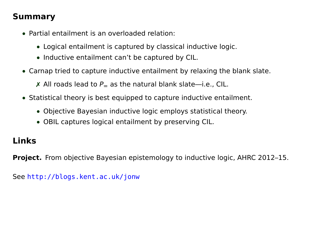## **Summary**

- **•** Partial entailment is an overloaded relation:
	- **•** Logical entailment is captured by classical inductive logic.
	- **•** Inductive entailment can't be captured by CIL.
- **•** Carnap tried to capture inductive entailment by relaxing the blank slate.

✗ All roads lead to <sup>P</sup>**<sup>=</sup>** as the natural blank slate—i.e., CIL.

- **•** Statistical theory is best equipped to capture inductive entailment.
	- **•** Objective Bayesian inductive logic employs statistical theory.
	- **•** OBIL captures logical entailment by preserving CIL.

## **Links**

**Project.** From objective Bayesian epistemology to inductive logic, AHRC 2012–15.

See <http://blogs.kent.ac.uk/jonw>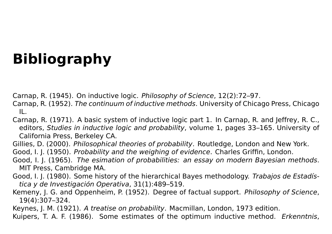# **Bibliography**

- <span id="page-41-2"></span><span id="page-41-0"></span>Carnap, R. (1945). On inductive logic. Philosophy of Science, 12(2):72–97.
- <span id="page-41-7"></span>Carnap, R. (1952). The continuum of inductive methods. University of Chicago Press, Chicago IL.
- <span id="page-41-4"></span>Carnap, R. (1971). A basic system of inductive logic part 1. In Carnap, R. and Jeffrey, R. C., editors, Studies in inductive logic and probability, volume 1, pages 33–165. University of California Press, Berkeley CA.
- <span id="page-41-6"></span>Gillies, D. (2000). Philosophical theories of probability. Routledge, London and New York.
- <span id="page-41-1"></span>Good, I. J. (1950). Probability and the weighing of evidence. Charles Griffin, London.
- <span id="page-41-5"></span>Good, I. J. (1965). The esimation of probabilities: an essay on modern Bayesian methods. MIT Press, Cambridge MA.
- <span id="page-41-8"></span>Good, I. J. (1980). Some history of the hierarchical Bayes methodology. Trabajos de Estadística y de Investigación Operativa, 31(1):489–519.
- <span id="page-41-3"></span>Kemeny, J. G. and Oppenheim, P. (1952). Degree of factual support. Philosophy of Science, 19(4):307–324.
- <span id="page-41-10"></span>Keynes, J. M. (1921). A treatise on probability. Macmillan, London, 1973 edition.
- <span id="page-41-9"></span>Kuipers, T. A. F. (1986). Some estimates of the optimum inductive method. Erkenntnis,